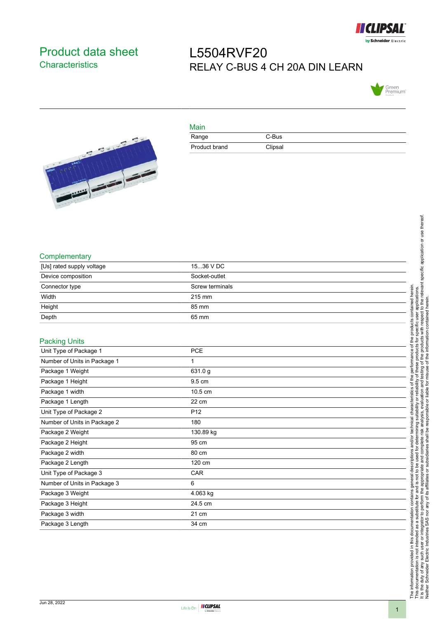

## <span id="page-0-0"></span>Product data sheet **Characteristics**

## L5504RVF20 RELAY C-BUS 4 CH 20A DIN LEARN





| Main          |         |  |
|---------------|---------|--|
| Range         | C-Bus   |  |
| Product brand | Clipsal |  |

## **Complementary**

| [Us] rated supply voltage | 1536 V DC       |  |
|---------------------------|-----------------|--|
| Device composition        | Socket-outlet   |  |
| Connector type            | Screw terminals |  |
| Width                     | 215 mm          |  |
| Height                    | 85 mm           |  |
| Depth                     | 65 mm           |  |

## Packing Units

| 1.99                         |                 |
|------------------------------|-----------------|
| Unit Type of Package 1       | <b>PCE</b>      |
| Number of Units in Package 1 |                 |
| Package 1 Weight             | 631.0 g         |
| Package 1 Height             | 9.5 cm          |
| Package 1 width              | 10.5 cm         |
| Package 1 Length             | 22 cm           |
| Unit Type of Package 2       | P <sub>12</sub> |
| Number of Units in Package 2 | 180             |
| Package 2 Weight             | 130.89 kg       |
| Package 2 Height             | 95 cm           |
| Package 2 width              | 80 cm           |
| Package 2 Length             | 120 cm          |
| Unit Type of Package 3       | CAR             |
| Number of Units in Package 3 | 6               |
| Package 3 Weight             | 4.063 kg        |
| Package 3 Height             | 24.5 cm         |
| Package 3 width              | 21 cm           |
| Package 3 Length             | 34 cm           |
|                              |                 |